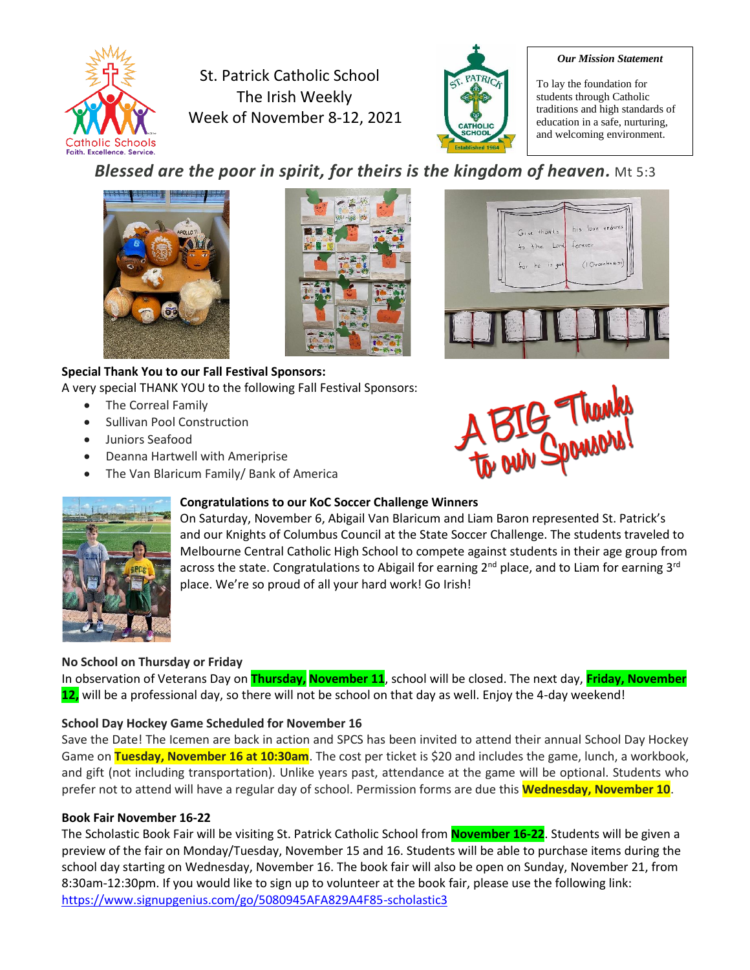

St. Patrick Catholic School The Irish Weekly Week of November 8-12, 2021



#### *Our Mission Statement*

To lay the foundation for students through Catholic traditions and high standards of education in a safe, nurturing, and welcoming environment.

# *Blessed are the poor in spirit, for theirs is the kingdom of heaven.* Mt 5:3





#### **Special Thank You to our Fall Festival Sponsors:** A very special THANK YOU to the following Fall Festival Sponsors:

- The Correal Family
- Sullivan Pool Construction
- Juniors Seafood
- Deanna Hartwell with Ameriprise
- The Van Blaricum Family/ Bank of America







#### **Congratulations to our KoC Soccer Challenge Winners**

On Saturday, November 6, Abigail Van Blaricum and Liam Baron represented St. Patrick's and our Knights of Columbus Council at the State Soccer Challenge. The students traveled to Melbourne Central Catholic High School to compete against students in their age group from across the state. Congratulations to Abigail for earning  $2^{nd}$  place, and to Liam for earning  $3^{rd}$ place. We're so proud of all your hard work! Go Irish!

#### **No School on Thursday or Friday**

In observation of Veterans Day on **Thursday, November 11**, school will be closed. The next day, **Friday, November 12,** will be a professional day, so there will not be school on that day as well. Enjoy the 4-day weekend!

#### **School Day Hockey Game Scheduled for November 16**

Save the Date! The Icemen are back in action and SPCS has been invited to attend their annual School Day Hockey Game on **Tuesday, November 16 at 10:30am**. The cost per ticket is \$20 and includes the game, lunch, a workbook, and gift (not including transportation). Unlike years past, attendance at the game will be optional. Students who prefer not to attend will have a regular day of school. Permission forms are due this **Wednesday, November 10**.

#### **Book Fair November 16-22**

The Scholastic Book Fair will be visiting St. Patrick Catholic School from **November 16-22**. Students will be given a preview of the fair on Monday/Tuesday, November 15 and 16. Students will be able to purchase items during the school day starting on Wednesday, November 16. The book fair will also be open on Sunday, November 21, from 8:30am-12:30pm. If you would like to sign up to volunteer at the book fair, please use the following link: <https://www.signupgenius.com/go/5080945AFA829A4F85-scholastic3>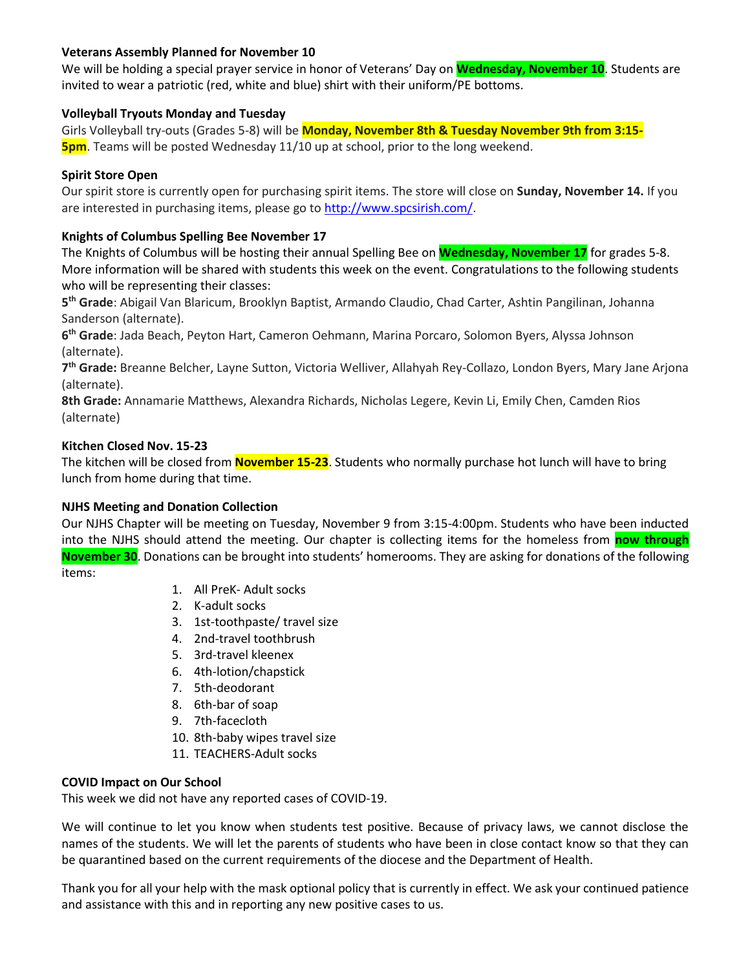#### **Veterans Assembly Planned for November 10**

We will be holding a special prayer service in honor of Veterans' Day on **Wednesday, November 10**. Students are invited to wear a patriotic (red, white and blue) shirt with their uniform/PE bottoms.

### **Volleyball Tryouts Monday and Tuesday**

Girls Volleyball try-outs (Grades 5-8) will be **Monday, November 8th & Tuesday November 9th from 3:15- 5pm**. Teams will be posted Wednesday 11/10 up at school, prior to the long weekend.

### **Spirit Store Open**

Our spirit store is currently open for purchasing spirit items. The store will close on **Sunday, November 14.** If you are interested in purchasing items, please go to [http://www.spcsirish.com/.](http://www.spcsirish.com/)

### **Knights of Columbus Spelling Bee November 17**

The Knights of Columbus will be hosting their annual Spelling Bee on **Wednesday, November 17** for grades 5-8. More information will be shared with students this week on the event. Congratulations to the following students who will be representing their classes:

**5 th Grade**: Abigail Van Blaricum, Brooklyn Baptist, Armando Claudio, Chad Carter, Ashtin Pangilinan, Johanna Sanderson (alternate).

**6 th Grade**: Jada Beach, Peyton Hart, Cameron Oehmann, Marina Porcaro, Solomon Byers, Alyssa Johnson (alternate).

**7 th Grade:** Breanne Belcher, Layne Sutton, Victoria Welliver, Allahyah Rey-Collazo, London Byers, Mary Jane Arjona (alternate).

**8th Grade:** Annamarie Matthews, Alexandra Richards, Nicholas Legere, Kevin Li, Emily Chen, Camden Rios (alternate)

### **Kitchen Closed Nov. 15-23**

The kitchen will be closed from **November 15-23**. Students who normally purchase hot lunch will have to bring lunch from home during that time.

#### **NJHS Meeting and Donation Collection**

Our NJHS Chapter will be meeting on Tuesday, November 9 from 3:15-4:00pm. Students who have been inducted into the NJHS should attend the meeting. Our chapter is collecting items for the homeless from **now through November 30**. Donations can be brought into students' homerooms. They are asking for donations of the following items:

- 1. All PreK- Adult socks
- 2. K-adult socks
- 3. 1st-toothpaste/ travel size
- 4. 2nd-travel toothbrush
- 5. 3rd-travel kleenex
- 6. 4th-lotion/chapstick
- 7. 5th-deodorant
- 8. 6th-bar of soap
- 9. 7th-facecloth
- 10. 8th-baby wipes travel size
- 11. TEACHERS-Adult socks

#### **COVID Impact on Our School**

This week we did not have any reported cases of COVID-19.

We will continue to let you know when students test positive. Because of privacy laws, we cannot disclose the names of the students. We will let the parents of students who have been in close contact know so that they can be quarantined based on the current requirements of the diocese and the Department of Health.

Thank you for all your help with the mask optional policy that is currently in effect. We ask your continued patience and assistance with this and in reporting any new positive cases to us.